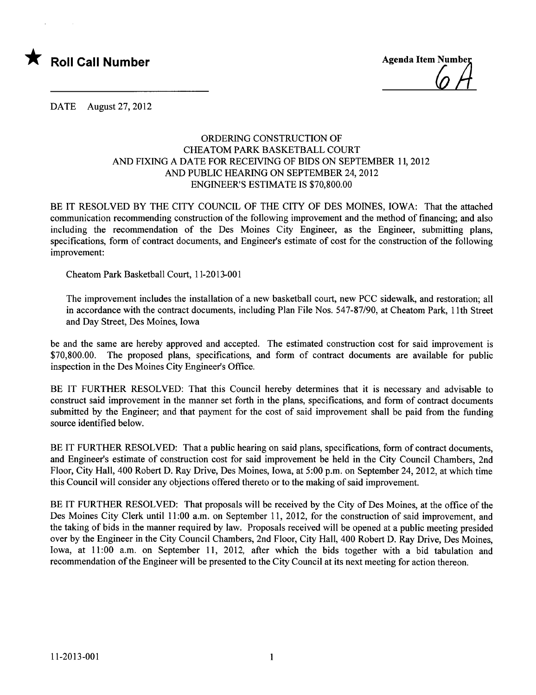

DATE August 27,2012

## ORDERING CONSTRUCTION OF CHEATOM PARK BASKETBALL COURT AND FIXING A DATE FOR RECEIVING OF BIDS ON SEPTEMBER 11, 2012 AND PUBLIC HEARING ON SEPTEMBER 24, 2012 ENGINEER'S ESTIMATE IS \$70,800.00

BE IT RESOLVED BY THE CITY COUNCIL OF THE CITY OF DES MOINES, IOWA: That the attached communication recommending construction of the following improvement and the method of financing; and also including the recommendation of the Des Moines City Engineer, as the Engineer, submitting plans, specifications, form of contract documents, and Engineer's estimate of cost for the construction of the following improvement:

Cheatom Park Basketball Court, 11-2013-001

The improvement includes the installation of a new basketball court, new PCC sidewalk, and restoration; all in accordance with the contract documents, including Plan File Nos. 547-87/90, at Cheatom Park, 11th Street and Day Street, Des Moines, Iowa

be and the same are hereby approved and accepted. The estimated construction cost for said improvement is \$70,800.00. The proposed plans, specifications, and form of contract documents are available for public inspection in the Des Moines City Engineer's Office.

BE IT FURTHER RESOLVED: That this Council hereby determines that it is necessary and advisable to construct said improvement in the manner set forth in the plans, specifications, and form of contract documents submitted by the Engineer; and that payment for the cost of said improvement shall be paid from the funding source identified below.

BE IT FURTHER RESOLVED: That a public hearing on said plans, specifications, form of contract documents, and Engineer's estimate of construction cost for said improvement be held in the City Council Chambers, 2nd Floor, City Hall, 400 Robert D. Ray Drive, Des Moines, Iowa, at 5:00 p.m. on September 24,2012, at which time this Council will consider any objections offered thereto or to the making of said improvement.

BE IT FURTHER RESOLVED: That proposals wil be received by the City of Des Moines, at the office of the Des Moines City Clerk until 11:00 a.m. on September 11, 2012, for the construction of said improvement, and the taking of bids in the manner required by law. Proposals received will be opened at a public meeting presided over by the Engineer in the City Council Chambers, 2nd Floor, City Hall, 400 Robert D. Ray Drive, Des Moines, Iowa, at 11:00 a.m. on September 11, 2012, after which the bids together with a bid tabulation and recommendation of the Engineer will be presented to the City Council at its next meeting for action thereon.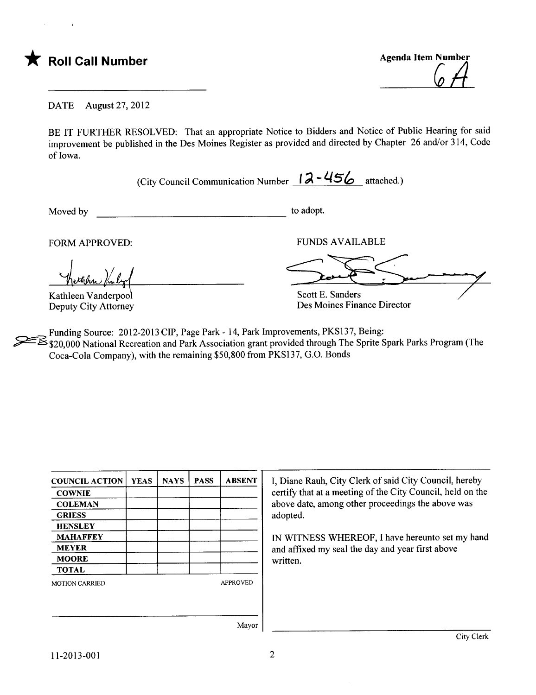the Roll Call Number Agenda Item Number Agenda Item Number



DATE August 27, 2012

BE IT FURTHER RESOLVED: That an appropriate Notice to Bidders and Notice of Public Hearing for said improvement be published in the Des Moines Register as provided and directed by Chapter 26 and/or 314, Code of Iowa.

(City Council Communication Number  $12 - 456$  attached.)

Moved by to adopt.

FORM APPROVED:

Kathleen Vanderpool Deputy City Attorney

**FUNDS AVAILABLE** 

Scott E. Sanders Des Moines Finance Director

Des Moines Finance Director

Funding Source: 2012-2013 CIP, Page Park - 14, Park Improvements, PKS137, Being: ~\$20,000 National Recreation and Park Association grant provided through The Sprite Spark Parks Program (The Coca-Cola Company), with the remaining \$50,800 from PKS137, G.O. Bonds

| <b>COUNCIL ACTION</b> | <b>YEAS</b> | <b>NAYS</b> | <b>PASS</b> | <b>ABSENT</b>   | I, Diane Rauh, O    |
|-----------------------|-------------|-------------|-------------|-----------------|---------------------|
| <b>COWNIE</b>         |             |             |             |                 | certify that at a   |
| <b>COLEMAN</b>        |             |             |             |                 | above date, amo     |
| <b>GRIESS</b>         |             |             |             |                 | adopted.            |
| <b>HENSLEY</b>        |             |             |             |                 |                     |
| <b>MAHAFFEY</b>       |             |             |             |                 | <b>IN WITNESS V</b> |
| <b>MEYER</b>          |             |             |             |                 | and affixed my      |
| <b>MOORE</b>          |             |             |             |                 | written.            |
| <b>TOTAL</b>          |             |             |             |                 |                     |
| <b>MOTION CARRIED</b> |             |             |             | <b>APPROVED</b> |                     |
|                       |             |             |             |                 |                     |
|                       |             |             |             |                 |                     |
|                       |             |             |             | Mayor           |                     |
|                       |             |             |             |                 |                     |

City Clerk of said City Council, hereby meeting of the City Council, held on the ong other proceedings the above was

WHEREOF, I have hereunto set my hand seal the day and year first above

11-2013-001 2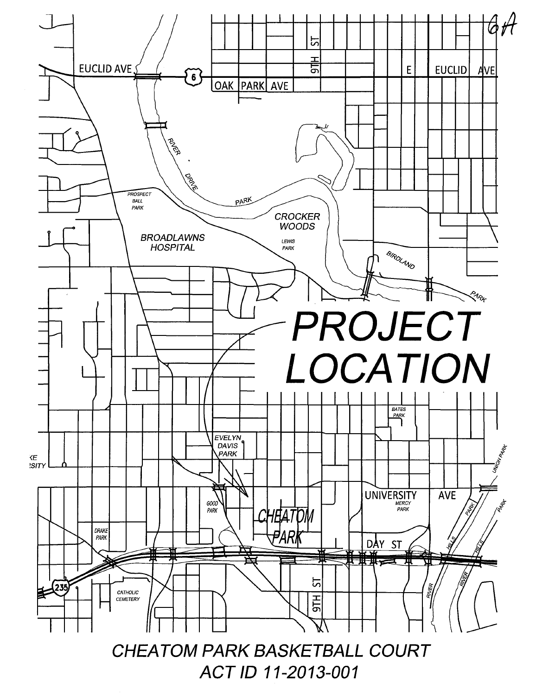

ACT ID 11-2013-001